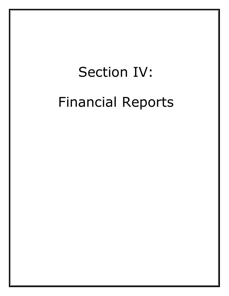## Section IV: Financial Reports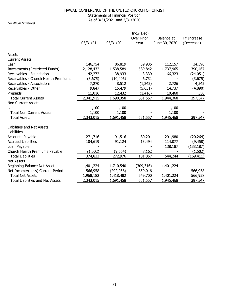## HAWAII CONFERENCE OF THE UNITED CHURCH OF CHRIST Statements of Financial Position As of 3/31/2021 and 3/31/2020 (In Whole Numbers)

|                                         |           | FY Increase |                    |                             |            |
|-----------------------------------------|-----------|-------------|--------------------|-----------------------------|------------|
|                                         | 03/31/21  | 03/31/20    | Over Prior<br>Year | Balance at<br>June 30, 2020 | (Decrease) |
| Assets                                  |           |             |                    |                             |            |
| <b>Current Assets</b>                   |           |             |                    |                             |            |
| Cash                                    | 146,754   | 86,819      | 59,935             | 112,157                     | 34,596     |
| Investments (Restricted Funds)          | 2,128,432 | 1,538,589   | 589,842            | 1,737,965                   | 390,467    |
| Receivables - Foundation                | 42,272    | 38,933      | 3,339              | 66,323                      | (24,051)   |
| Receivables - Church Health Premiums    | (3,675)   | (10, 406)   | 6,731              |                             | (3,675)    |
| Receivables - Associations              | 7,270     | 8,512       | (1, 242)           | 2,726                       | 4,545      |
| Receivables - Other                     | 9,847     | 15,479      | (5,631)            | 14,737                      | (4,890)    |
| Prepaids                                | 11,016    | 12,432      | (1, 416)           | 10,460                      | 556        |
| <b>Total Current Assets</b>             | 2,341,915 | 1,690,358   | 651,557            | 1,944,368                   | 397,547    |
| <b>Non Current Assets</b>               |           |             |                    |                             |            |
| Land                                    | 1,100     | 1,100       |                    | 1,100                       |            |
| <b>Total Non Current Assets</b>         | 1,100     | 1,100       |                    | 1,100                       |            |
| <b>Total Assets</b>                     | 2,343,015 | 1,691,458   | 651,557            | 1,945,468                   | 397,547    |
| Liabilities and Net Assets              |           |             |                    |                             |            |
| Liabilities                             |           |             |                    |                             |            |
| <b>Accounts Payable</b>                 | 271,716   | 191,516     | 80,201             | 291,980                     | (20, 264)  |
| <b>Accrued Liabilities</b>              | 104,619   | 91,124      | 13,494             | 114,077                     | (9, 458)   |
| Loan Payable                            |           |             |                    | 138,187                     | (138, 187) |
| Church Health Premiums Payable          | (1, 502)  | (9,664)     | 8,162              |                             | (1, 502)   |
| <b>Total Liabilities</b>                | 374,833   | 272,976     | 101,857            | 544,244                     | (169, 411) |
| <b>Net Assets</b>                       |           |             |                    |                             |            |
| Beginning Balance Net Assets            | 1,401,224 | 1,710,540   | (309, 316)         | 1,401,224                   |            |
| Net Income/(Loss) Current Period        | 566,958   | (292, 058)  | 859,016            |                             | 566,958    |
| <b>Total Net Assets</b>                 | 1,968,182 | 1,418,482   | 549,700            | 1,401,224                   | 566,958    |
| <b>Total Liabilities and Net Assets</b> | 2,343,015 | 1,691,458   | 651,557            | 1,945,468                   | 397,547    |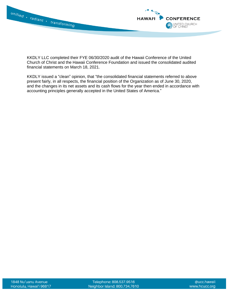

KKDLY LLC completed their FYE 06/30/2020 audit of the Hawaii Conference of the United Church of Christ and the Hawaii Conference Foundation and issued the consolidated audited financial statements on March 18, 2021.

KKDLY issued a "clean" opinion, that "the consolidated financial statements referred to above present fairly, in all respects, the financial position of the Organization as of June 30, 2020, and the changes in its net assets and its cash flows for the year then ended in accordance with accounting principles generally accepted in the United States of America."